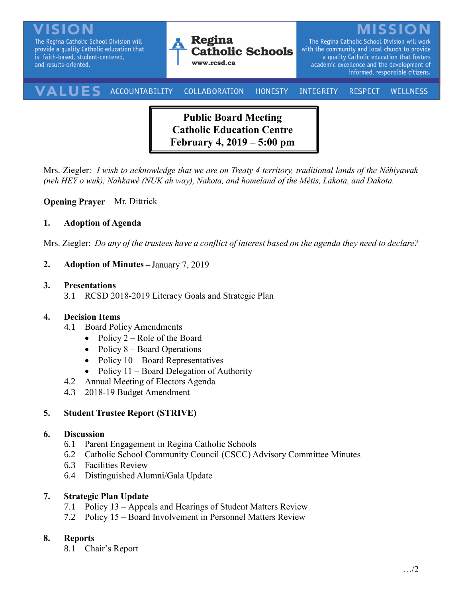The Regina Catholic School Division will provide a quality Catholic education that is faith-based, student-centered, and results-oriented.



The Regina Catholic School Division will work with the community and local church to provide a quality Catholic education that fosters academic excellence and the development of informed, responsible citizens.

#### VALUE ACCOUNTABILITY COLLABORATION INTEGRITY **HONESTY RESPECT WELLNESS**

**Public Board Meeting Catholic Education Centre February 4, 2019 – 5:00 pm**

Mrs. Ziegler: *I wish to acknowledge that we are on Treaty 4 territory, traditional lands of the Nêhiyawak (neh HEY o wuk), Nahkawé (NUK ah way), Nakota, and homeland of the Métis, Lakota, and Dakota.*

### **Opening Prayer** – Mr. Dittrick

#### **1. Adoption of Agenda**

Mrs. Ziegler: *Do any of the trustees have a conflict of interest based on the agenda they need to declare?*

**2. Adoption of Minutes –** January 7, 2019

#### **3. Presentations**

3.1 RCSD 2018-2019 Literacy Goals and Strategic Plan

#### **4. Decision Items**

- 4.1 Board Policy Amendments
	- Policy  $2 \text{Role of the Board}$
	- Policy  $8$  Board Operations
	- Policy  $10 Board$  Representatives
	- Policy  $11 -$  Board Delegation of Authority
- 4.2 Annual Meeting of Electors Agenda
- 4.3 2018-19 Budget Amendment

## **5. Student Trustee Report (STRIVE)**

#### **6. Discussion**

- 6.1 Parent Engagement in Regina Catholic Schools
- 6.2 Catholic School Community Council (CSCC) Advisory Committee Minutes
- 6.3 Facilities Review
- 6.4 Distinguished Alumni/Gala Update

#### **7. Strategic Plan Update**

- 7.1 Policy 13 Appeals and Hearings of Student Matters Review
- 7.2 Policy 15 Board Involvement in Personnel Matters Review

## **8. Reports**

8.1 Chair's Report